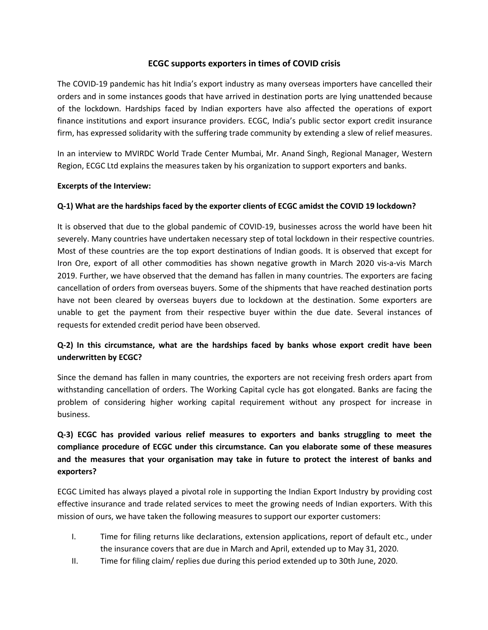### **ECGC supports exporters in times of COVID crisis**

The COVID-19 pandemic has hit India's export industry asmany overseas importers have cancelled their orders and in some instances goods that have arrived in destination ports are lying unattended because of the lockdown. Hardships faced by Indian exporters have also affected the operations of export finance institutions and export insurance providers. ECGC, India's public sector export credit insurance firm, has expressed solidarity with the suffering trade community by extending a slew of relief measures.

In an interview to MVIRDC World Trade Center Mumbai, Mr. Anand Singh, Regional Manager, Western Region, ECGC Ltd explains the measures taken by his organization to support exporters and banks.

#### **Excerpts of the Interview:**

#### **Q-1) What are the hardships faced bythe exporter clients of ECGC amidst the COVID 19 lockdown?**

It is observed that due to the global pandemic of COVID-19, businesses across the world have been hit severely. Many countries have undertaken necessary step of total lockdown in their respective countries. Most of these countries are the top export destinations of Indian goods. It is observed that except for Iron Ore, export of all other commodities has shown negative growth in March 2020 vis-a-vis March 2019. Further, we have observed that the demand has fallen in many countries. The exporters are facing cancellation of orders from overseas buyers. Some of the shipments that have reached destination ports have not been cleared by overseas buyers due to lockdown at the destination. Some exporters are unable to get the payment from their respective buyer within the due date. Several instances of requests for extended credit period have been observed.

## **Q-2) In this circumstance, what are the hardships faced by banks whose export credit have been underwritten byECGC?**

Since the demand has fallen in many countries, the exporters are not receiving fresh orders apart from withstanding cancellation of orders. The Working Capital cycle has got elongated. Banks are facing the problem of considering higher working capital requirement without any prospect for increase in business.

# **Q-3) ECGC has provided various relief measures to exporters and banks struggling to meet the compliance procedure of ECGC under this circumstance. Can you elaborate some of these measures and the measures that your organisation may take in future to protect the interest of banks and exporters?**

ECGC Limited has always played a pivotal role in supporting the Indian Export Industry by providing cost effective insurance and trade related services to meet the growing needs of Indian exporters. With this mission of ours, we have taken the following measures to support our exporter customers:

- I. Time for filing returns like declarations, extension applications, report of default etc., under the insurance covers that are due in March and April, extended up to May 31, 2020.
- II. Time for filing claim/ replies due during this period extended up to 30th June, 2020.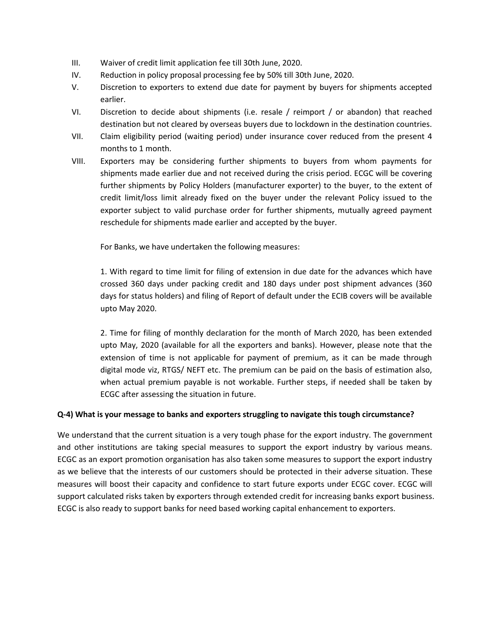- III. Waiver of credit limit application fee till 30th June, 2020.
- IV. Reduction in policy proposal processing fee by 50% till 30th June, 2020.
- V. Discretion to exporters to extend due date for payment by buyers for shipments accepted earlier.
- VI. Discretion to decide about shipments (i.e. resale / reimport / or abandon) that reached destination but not cleared by overseas buyers due to lockdown in the destination countries.
- VII. Claim eligibility period (waiting period) under insurance cover reduced from the present 4 months to 1 month.
- VIII. Exporters may be considering further shipments to buyers from whom payments for shipments made earlier due and not received during the crisis period. ECGC will be covering further shipments by Policy Holders (manufacturer exporter) to the buyer, to the extent of credit limit/loss limit already fixed on the buyer under the relevant Policy issued to the exporter subject to valid purchase order for further shipments, mutually agreed payment reschedule for shipments made earlier and accepted by the buyer.

For Banks, we have undertaken the following measures:

1. With regard to time limit for filing of extension in due date for the advances which have crossed 360 days under packing credit and 180 days under post shipment advances (360 days for status holders) and filing of Report of default under the ECIB coverswill be available upto May 2020.

2. Time for filing of monthly declaration for the month of March 2020, has been extended upto May, 2020 (available for all the exporters and banks). However, please note that the extension of time is not applicable for payment of premium, as it can be made through digital mode viz, RTGS/ NEFT etc. The premium can be paid on the basis of estimation also, when actual premium payable is not workable. Further steps, if needed shall be taken by ECGC after assessing the situation in future.

#### **Q-4) What is your message to banks and exporters struggling to navigate this tough circumstance?**

We understand that the current situation is a very tough phase for the export industry. The government and other institutions are taking special measures to support the export industry by various means. ECGC as an export promotion organisation has also taken some measures to support the export industry as we believe that the interests of our customers should be protected in their adverse situation. These measures will boost their capacity and confidence to start future exports under ECGC cover. ECGC will support calculated risks taken by exporters through extended credit for increasing banks export business. ECGC is also ready to support banks for need based working capital enhancement to exporters.